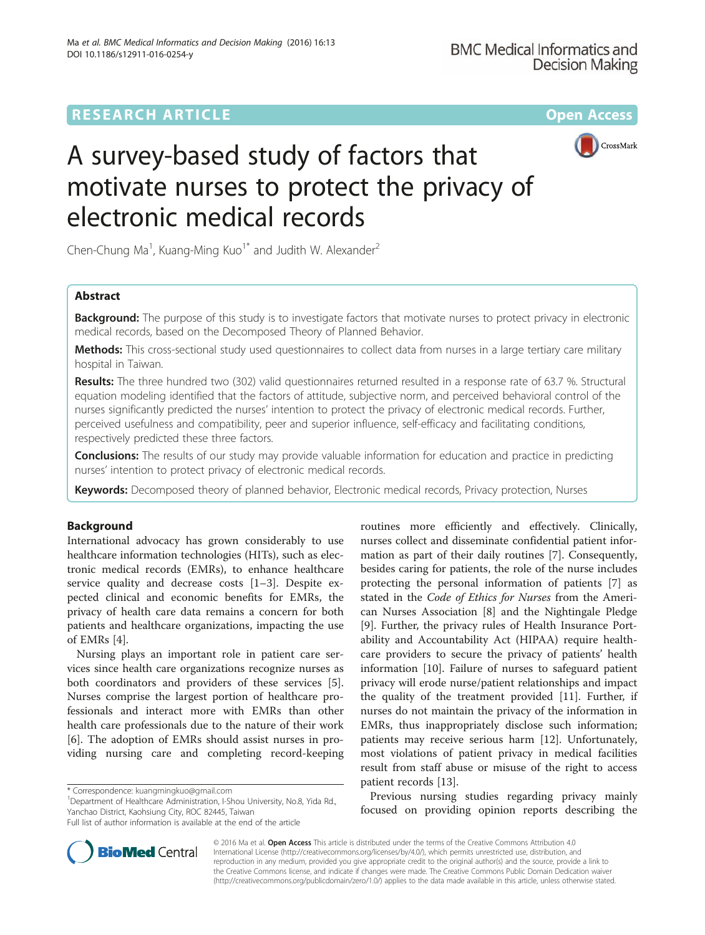# **RESEARCH ARTICLE Example 2014 12:30 The Contract of Contract ACCESS**



# A survey-based study of factors that motivate nurses to protect the privacy of electronic medical records

Chen-Chung Ma<sup>1</sup>, Kuang-Ming Kuo<sup>1\*</sup> and Judith W. Alexander<sup>2</sup>

# Abstract

**Background:** The purpose of this study is to investigate factors that motivate nurses to protect privacy in electronic medical records, based on the Decomposed Theory of Planned Behavior.

Methods: This cross-sectional study used questionnaires to collect data from nurses in a large tertiary care military hospital in Taiwan.

Results: The three hundred two (302) valid questionnaires returned resulted in a response rate of 63.7 %. Structural equation modeling identified that the factors of attitude, subjective norm, and perceived behavioral control of the nurses significantly predicted the nurses' intention to protect the privacy of electronic medical records. Further, perceived usefulness and compatibility, peer and superior influence, self-efficacy and facilitating conditions, respectively predicted these three factors.

**Conclusions:** The results of our study may provide valuable information for education and practice in predicting nurses' intention to protect privacy of electronic medical records.

Keywords: Decomposed theory of planned behavior, Electronic medical records, Privacy protection, Nurses

# Background

International advocacy has grown considerably to use healthcare information technologies (HITs), such as electronic medical records (EMRs), to enhance healthcare service quality and decrease costs [[1](#page-9-0)–[3](#page-9-0)]. Despite expected clinical and economic benefits for EMRs, the privacy of health care data remains a concern for both patients and healthcare organizations, impacting the use of EMRs [\[4](#page-9-0)].

Nursing plays an important role in patient care services since health care organizations recognize nurses as both coordinators and providers of these services [\[5](#page-9-0)]. Nurses comprise the largest portion of healthcare professionals and interact more with EMRs than other health care professionals due to the nature of their work [[6\]](#page-9-0). The adoption of EMRs should assist nurses in providing nursing care and completing record-keeping

<sup>1</sup>Department of Healthcare Administration, I-Shou University, No.8, Yida Rd., Yanchao District, Kaohsiung City, ROC 82445, Taiwan

routines more efficiently and effectively. Clinically, nurses collect and disseminate confidential patient information as part of their daily routines [[7\]](#page-9-0). Consequently, besides caring for patients, the role of the nurse includes protecting the personal information of patients [\[7\]](#page-9-0) as stated in the Code of Ethics for Nurses from the American Nurses Association [\[8\]](#page-9-0) and the Nightingale Pledge [[9\]](#page-9-0). Further, the privacy rules of Health Insurance Portability and Accountability Act (HIPAA) require healthcare providers to secure the privacy of patients' health information [[10](#page-9-0)]. Failure of nurses to safeguard patient privacy will erode nurse/patient relationships and impact the quality of the treatment provided [[11\]](#page-9-0). Further, if nurses do not maintain the privacy of the information in EMRs, thus inappropriately disclose such information; patients may receive serious harm [\[12](#page-9-0)]. Unfortunately, most violations of patient privacy in medical facilities result from staff abuse or misuse of the right to access patient records [\[13](#page-9-0)].

Previous nursing studies regarding privacy mainly focused on providing opinion reports describing the



© 2016 Ma et al. Open Access This article is distributed under the terms of the Creative Commons Attribution 4.0 International License [\(http://creativecommons.org/licenses/by/4.0/](http://creativecommons.org/licenses/by/4.0/)), which permits unrestricted use, distribution, and reproduction in any medium, provided you give appropriate credit to the original author(s) and the source, provide a link to the Creative Commons license, and indicate if changes were made. The Creative Commons Public Domain Dedication waiver [\(http://creativecommons.org/publicdomain/zero/1.0/](http://creativecommons.org/publicdomain/zero/1.0/)) applies to the data made available in this article, unless otherwise stated.

<sup>\*</sup> Correspondence: [kuangmingkuo@gmail.com](mailto:kuangmingkuo@gmail.com) <sup>1</sup>

Full list of author information is available at the end of the article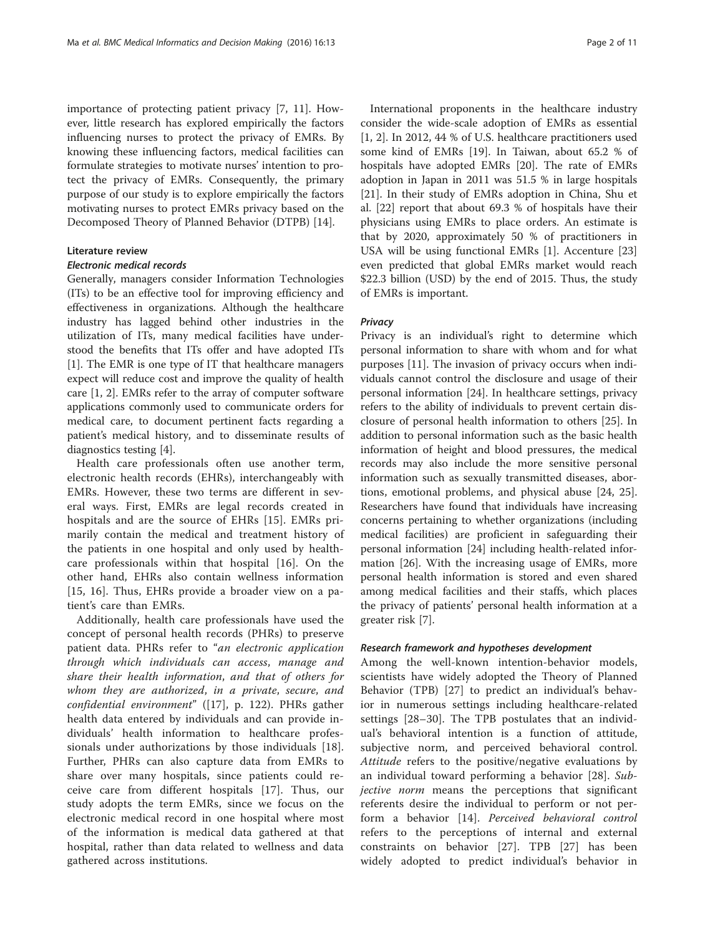importance of protecting patient privacy [\[7](#page-9-0), [11\]](#page-9-0). However, little research has explored empirically the factors influencing nurses to protect the privacy of EMRs. By knowing these influencing factors, medical facilities can formulate strategies to motivate nurses' intention to protect the privacy of EMRs. Consequently, the primary purpose of our study is to explore empirically the factors motivating nurses to protect EMRs privacy based on the Decomposed Theory of Planned Behavior (DTPB) [[14\]](#page-9-0).

#### Literature review

#### Electronic medical records

Generally, managers consider Information Technologies (ITs) to be an effective tool for improving efficiency and effectiveness in organizations. Although the healthcare industry has lagged behind other industries in the utilization of ITs, many medical facilities have understood the benefits that ITs offer and have adopted ITs [[1\]](#page-9-0). The EMR is one type of IT that healthcare managers expect will reduce cost and improve the quality of health care [[1, 2\]](#page-9-0). EMRs refer to the array of computer software applications commonly used to communicate orders for medical care, to document pertinent facts regarding a patient's medical history, and to disseminate results of diagnostics testing [\[4\]](#page-9-0).

Health care professionals often use another term, electronic health records (EHRs), interchangeably with EMRs. However, these two terms are different in several ways. First, EMRs are legal records created in hospitals and are the source of EHRs [\[15](#page-9-0)]. EMRs primarily contain the medical and treatment history of the patients in one hospital and only used by healthcare professionals within that hospital [[16\]](#page-9-0). On the other hand, EHRs also contain wellness information [[15, 16](#page-9-0)]. Thus, EHRs provide a broader view on a patient's care than EMRs.

Additionally, health care professionals have used the concept of personal health records (PHRs) to preserve patient data. PHRs refer to "an electronic application through which individuals can access, manage and share their health information, and that of others for whom they are authorized, in a private, secure, and confidential environment" ([[17\]](#page-9-0), p. 122). PHRs gather health data entered by individuals and can provide individuals' health information to healthcare professionals under authorizations by those individuals [\[18](#page-9-0)]. Further, PHRs can also capture data from EMRs to share over many hospitals, since patients could receive care from different hospitals [[17\]](#page-9-0). Thus, our study adopts the term EMRs, since we focus on the electronic medical record in one hospital where most of the information is medical data gathered at that hospital, rather than data related to wellness and data gathered across institutions.

International proponents in the healthcare industry consider the wide-scale adoption of EMRs as essential [[1, 2\]](#page-9-0). In 2012, 44 % of U.S. healthcare practitioners used some kind of EMRs [[19](#page--1-0)]. In Taiwan, about 65.2 % of hospitals have adopted EMRs [\[20](#page--1-0)]. The rate of EMRs adoption in Japan in 2011 was 51.5 % in large hospitals [[21\]](#page--1-0). In their study of EMRs adoption in China, Shu et al. [[22\]](#page--1-0) report that about 69.3 % of hospitals have their physicians using EMRs to place orders. An estimate is that by 2020, approximately 50 % of practitioners in USA will be using functional EMRs [\[1](#page-9-0)]. Accenture [[23](#page--1-0)] even predicted that global EMRs market would reach \$22.3 billion (USD) by the end of 2015. Thus, the study of EMRs is important.

#### Privacy

Privacy is an individual's right to determine which personal information to share with whom and for what purposes [\[11](#page-9-0)]. The invasion of privacy occurs when individuals cannot control the disclosure and usage of their personal information [\[24](#page--1-0)]. In healthcare settings, privacy refers to the ability of individuals to prevent certain disclosure of personal health information to others [\[25](#page--1-0)]. In addition to personal information such as the basic health information of height and blood pressures, the medical records may also include the more sensitive personal information such as sexually transmitted diseases, abortions, emotional problems, and physical abuse [\[24](#page--1-0), [25](#page--1-0)]. Researchers have found that individuals have increasing concerns pertaining to whether organizations (including medical facilities) are proficient in safeguarding their personal information [[24\]](#page--1-0) including health-related information [[26\]](#page--1-0). With the increasing usage of EMRs, more personal health information is stored and even shared among medical facilities and their staffs, which places the privacy of patients' personal health information at a greater risk [\[7](#page-9-0)].

#### Research framework and hypotheses development

Among the well-known intention-behavior models, scientists have widely adopted the Theory of Planned Behavior (TPB) [[27\]](#page--1-0) to predict an individual's behavior in numerous settings including healthcare-related settings [\[28](#page--1-0)–[30](#page--1-0)]. The TPB postulates that an individual's behavioral intention is a function of attitude, subjective norm, and perceived behavioral control. Attitude refers to the positive/negative evaluations by an individual toward performing a behavior [[28\]](#page--1-0). Sub*jective norm* means the perceptions that significant referents desire the individual to perform or not perform a behavior [\[14](#page-9-0)]. Perceived behavioral control refers to the perceptions of internal and external constraints on behavior [[27\]](#page--1-0). TPB [\[27](#page--1-0)] has been widely adopted to predict individual's behavior in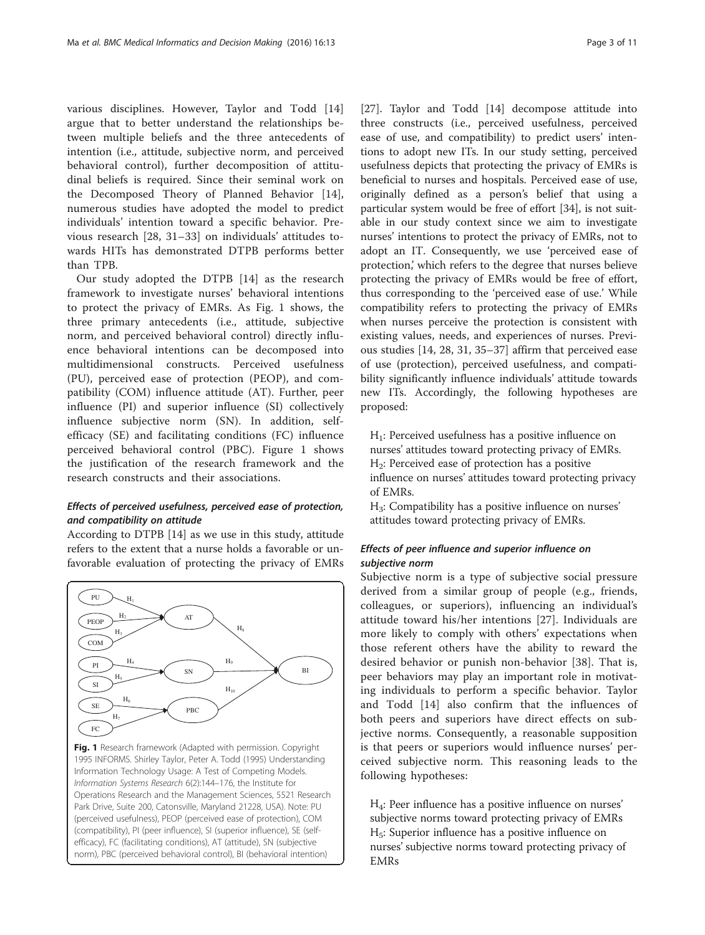various disciplines. However, Taylor and Todd [\[14](#page-9-0)] argue that to better understand the relationships between multiple beliefs and the three antecedents of intention (i.e., attitude, subjective norm, and perceived behavioral control), further decomposition of attitudinal beliefs is required. Since their seminal work on the Decomposed Theory of Planned Behavior [\[14](#page-9-0)], numerous studies have adopted the model to predict individuals' intention toward a specific behavior. Previous research [\[28](#page--1-0), [31](#page--1-0)–[33](#page--1-0)] on individuals' attitudes towards HITs has demonstrated DTPB performs better than TPB.

Our study adopted the DTPB [\[14](#page-9-0)] as the research framework to investigate nurses' behavioral intentions to protect the privacy of EMRs. As Fig. 1 shows, the three primary antecedents (i.e., attitude, subjective norm, and perceived behavioral control) directly influence behavioral intentions can be decomposed into multidimensional constructs. Perceived usefulness (PU), perceived ease of protection (PEOP), and compatibility (COM) influence attitude (AT). Further, peer influence (PI) and superior influence (SI) collectively influence subjective norm (SN). In addition, selfefficacy (SE) and facilitating conditions (FC) influence perceived behavioral control (PBC). Figure 1 shows the justification of the research framework and the research constructs and their associations.

# Effects of perceived usefulness, perceived ease of protection, and compatibility on attitude

According to DTPB [[14\]](#page-9-0) as we use in this study, attitude refers to the extent that a nurse holds a favorable or unfavorable evaluation of protecting the privacy of EMRs



[[27\]](#page--1-0). Taylor and Todd [[14](#page-9-0)] decompose attitude into three constructs (i.e., perceived usefulness, perceived ease of use, and compatibility) to predict users' intentions to adopt new ITs. In our study setting, perceived usefulness depicts that protecting the privacy of EMRs is beneficial to nurses and hospitals. Perceived ease of use, originally defined as a person's belief that using a particular system would be free of effort [\[34\]](#page--1-0), is not suitable in our study context since we aim to investigate nurses' intentions to protect the privacy of EMRs, not to adopt an IT. Consequently, we use 'perceived ease of protection,' which refers to the degree that nurses believe protecting the privacy of EMRs would be free of effort, thus corresponding to the 'perceived ease of use.' While compatibility refers to protecting the privacy of EMRs when nurses perceive the protection is consistent with existing values, needs, and experiences of nurses. Previous studies [\[14](#page-9-0), [28](#page--1-0), [31](#page--1-0), [35](#page--1-0)–[37\]](#page--1-0) affirm that perceived ease of use (protection), perceived usefulness, and compatibility significantly influence individuals' attitude towards new ITs. Accordingly, the following hypotheses are proposed:

 $H_1$ : Perceived usefulness has a positive influence on nurses' attitudes toward protecting privacy of EMRs.  $H<sub>2</sub>$ : Perceived ease of protection has a positive influence on nurses' attitudes toward protecting privacy of EMRs.

H3: Compatibility has a positive influence on nurses' attitudes toward protecting privacy of EMRs.

# Effects of peer influence and superior influence on subjective norm

Subjective norm is a type of subjective social pressure derived from a similar group of people (e.g., friends, colleagues, or superiors), influencing an individual's attitude toward his/her intentions [\[27\]](#page--1-0). Individuals are more likely to comply with others' expectations when those referent others have the ability to reward the desired behavior or punish non-behavior [\[38](#page--1-0)]. That is, peer behaviors may play an important role in motivating individuals to perform a specific behavior. Taylor and Todd [\[14](#page-9-0)] also confirm that the influences of both peers and superiors have direct effects on subjective norms. Consequently, a reasonable supposition is that peers or superiors would influence nurses' perceived subjective norm. This reasoning leads to the following hypotheses:

H4: Peer influence has a positive influence on nurses' subjective norms toward protecting privacy of EMRs  $H<sub>5</sub>$ : Superior influence has a positive influence on nurses' subjective norms toward protecting privacy of EMRs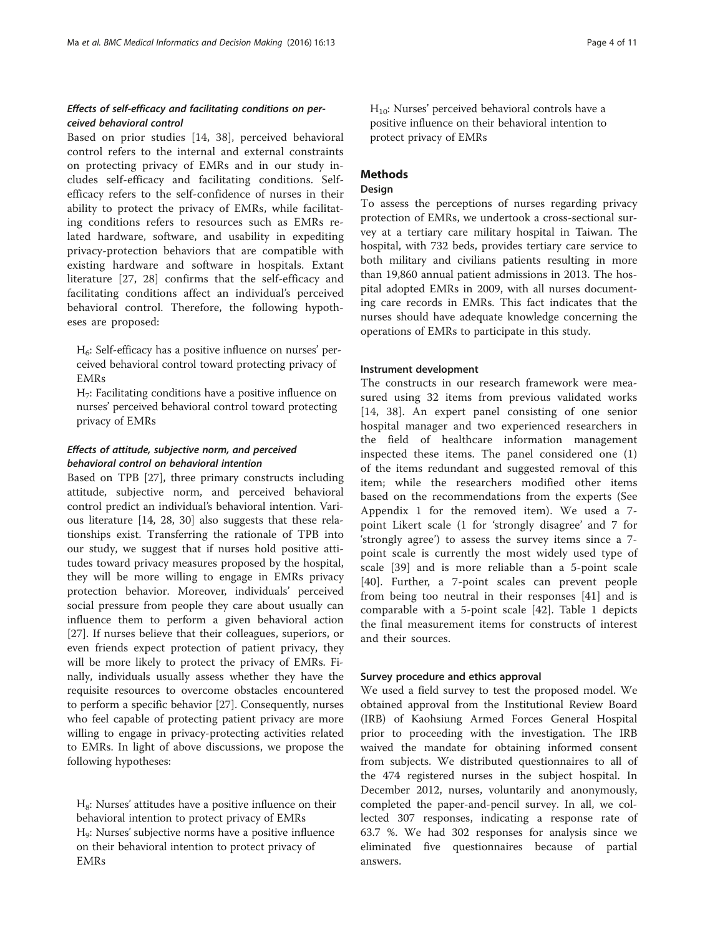# Effects of self-efficacy and facilitating conditions on perceived behavioral control

Based on prior studies [[14](#page-9-0), [38](#page--1-0)], perceived behavioral control refers to the internal and external constraints on protecting privacy of EMRs and in our study includes self-efficacy and facilitating conditions. Selfefficacy refers to the self-confidence of nurses in their ability to protect the privacy of EMRs, while facilitating conditions refers to resources such as EMRs related hardware, software, and usability in expediting privacy-protection behaviors that are compatible with existing hardware and software in hospitals. Extant literature [\[27](#page--1-0), [28\]](#page--1-0) confirms that the self-efficacy and facilitating conditions affect an individual's perceived behavioral control. Therefore, the following hypotheses are proposed:

 $H<sub>6</sub>$ : Self-efficacy has a positive influence on nurses' perceived behavioral control toward protecting privacy of EMRs

 $H_7$ : Facilitating conditions have a positive influence on nurses' perceived behavioral control toward protecting privacy of EMRs

# Effects of attitude, subjective norm, and perceived behavioral control on behavioral intention

Based on TPB [[27\]](#page--1-0), three primary constructs including attitude, subjective norm, and perceived behavioral control predict an individual's behavioral intention. Various literature [[14](#page-9-0), [28](#page--1-0), [30\]](#page--1-0) also suggests that these relationships exist. Transferring the rationale of TPB into our study, we suggest that if nurses hold positive attitudes toward privacy measures proposed by the hospital, they will be more willing to engage in EMRs privacy protection behavior. Moreover, individuals' perceived social pressure from people they care about usually can influence them to perform a given behavioral action [[27\]](#page--1-0). If nurses believe that their colleagues, superiors, or even friends expect protection of patient privacy, they will be more likely to protect the privacy of EMRs. Finally, individuals usually assess whether they have the requisite resources to overcome obstacles encountered to perform a specific behavior [\[27](#page--1-0)]. Consequently, nurses who feel capable of protecting patient privacy are more willing to engage in privacy-protecting activities related to EMRs. In light of above discussions, we propose the following hypotheses:

 $H_8$ : Nurses' attitudes have a positive influence on their behavioral intention to protect privacy of EMRs H9: Nurses' subjective norms have a positive influence on their behavioral intention to protect privacy of EMRs

 $H_{10}$ : Nurses' perceived behavioral controls have a positive influence on their behavioral intention to protect privacy of EMRs

# **Methods**

# **Design**

To assess the perceptions of nurses regarding privacy protection of EMRs, we undertook a cross-sectional survey at a tertiary care military hospital in Taiwan. The hospital, with 732 beds, provides tertiary care service to both military and civilians patients resulting in more than 19,860 annual patient admissions in 2013. The hospital adopted EMRs in 2009, with all nurses documenting care records in EMRs. This fact indicates that the nurses should have adequate knowledge concerning the operations of EMRs to participate in this study.

#### Instrument development

The constructs in our research framework were measured using 32 items from previous validated works [[14,](#page-9-0) [38\]](#page--1-0). An expert panel consisting of one senior hospital manager and two experienced researchers in the field of healthcare information management inspected these items. The panel considered one (1) of the items redundant and suggested removal of this item; while the researchers modified other items based on the recommendations from the experts (See [Appendix 1](#page-9-0) for the removed item). We used a 7 point Likert scale (1 for 'strongly disagree' and 7 for 'strongly agree') to assess the survey items since a 7 point scale is currently the most widely used type of scale [\[39\]](#page--1-0) and is more reliable than a 5-point scale [[40](#page--1-0)]. Further, a 7-point scales can prevent people from being too neutral in their responses [\[41](#page--1-0)] and is comparable with a 5-point scale [[42\]](#page--1-0). Table [1](#page-4-0) depicts the final measurement items for constructs of interest and their sources.

#### Survey procedure and ethics approval

We used a field survey to test the proposed model. We obtained approval from the Institutional Review Board (IRB) of Kaohsiung Armed Forces General Hospital prior to proceeding with the investigation. The IRB waived the mandate for obtaining informed consent from subjects. We distributed questionnaires to all of the 474 registered nurses in the subject hospital. In December 2012, nurses, voluntarily and anonymously, completed the paper-and-pencil survey. In all, we collected 307 responses, indicating a response rate of 63.7 %. We had 302 responses for analysis since we eliminated five questionnaires because of partial answers.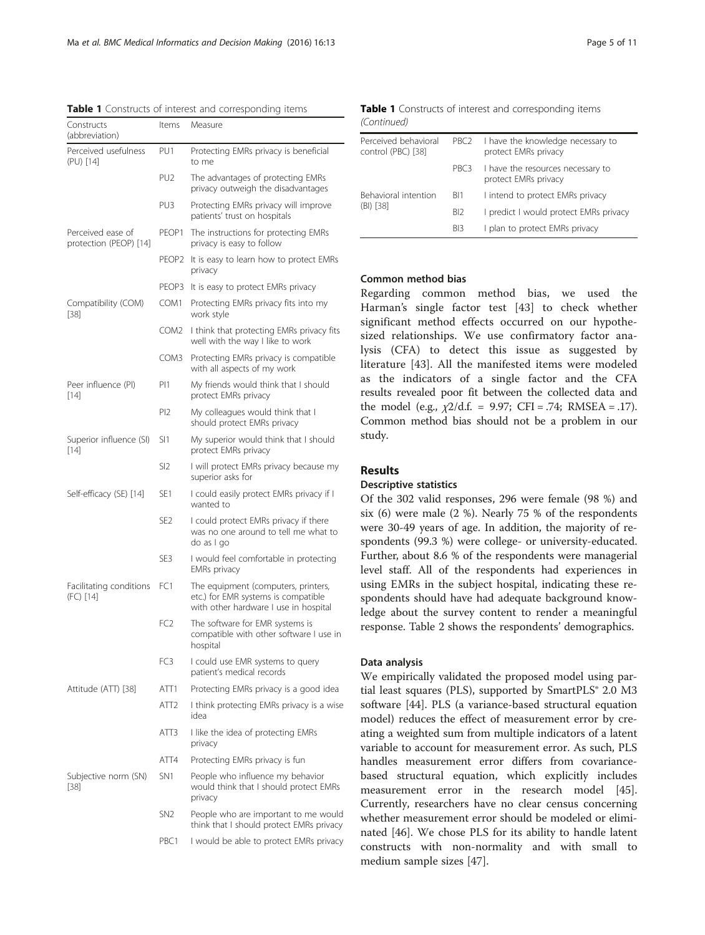<span id="page-4-0"></span>Table 1 Constructs of interest and corresponding items

| Constructs<br>(abbreviation)                | Items             | Measure                                                                                                             |
|---------------------------------------------|-------------------|---------------------------------------------------------------------------------------------------------------------|
| Perceived usefulness<br>(PU) [14]           | PU1               | Protecting EMRs privacy is beneficial<br>to me                                                                      |
|                                             | PU <sub>2</sub>   | The advantages of protecting EMRs<br>privacy outweigh the disadvantages                                             |
|                                             | PU3               | Protecting EMRs privacy will improve<br>patients' trust on hospitals                                                |
| Perceived ease of<br>protection (PEOP) [14] | PEOP1             | The instructions for protecting EMRs<br>privacy is easy to follow                                                   |
|                                             | PEOP <sub>2</sub> | It is easy to learn how to protect EMRs<br>privacy                                                                  |
|                                             | PEOP3             | It is easy to protect EMRs privacy                                                                                  |
| Compatibility (COM)<br>$[38]$               | COM1              | Protecting EMRs privacy fits into my<br>work style                                                                  |
|                                             | COM <sub>2</sub>  | I think that protecting EMRs privacy fits<br>well with the way I like to work                                       |
|                                             | COM3              | Protecting EMRs privacy is compatible<br>with all aspects of my work                                                |
| Peer influence (PI)<br>$[14]$               | PI1               | My friends would think that I should<br>protect EMRs privacy                                                        |
|                                             | P <sub>12</sub>   | My colleagues would think that I<br>should protect EMRs privacy                                                     |
| Superior influence (SI)<br>$[14]$           | SI1               | My superior would think that I should<br>protect EMRs privacy                                                       |
|                                             | SI2               | I will protect EMRs privacy because my<br>superior asks for                                                         |
| Self-efficacy (SE) [14]                     | SE <sub>1</sub>   | I could easily protect EMRs privacy if I<br>wanted to                                                               |
|                                             | SE <sub>2</sub>   | I could protect EMRs privacy if there<br>was no one around to tell me what to<br>do as I go                         |
|                                             | SE3               | I would feel comfortable in protecting<br><b>EMRs</b> privacy                                                       |
| Facilitating conditions<br>(FC) [14]        | FC <sub>1</sub>   | The equipment (computers, printers,<br>etc.) for EMR systems is compatible<br>with other hardware I use in hospital |
|                                             | FC <sub>2</sub>   | The software for EMR systems is<br>compatible with other software I use in<br>hospital                              |
|                                             | FC3               | I could use EMR systems to query<br>patient's medical records                                                       |
| Attitude (ATT) [38]                         | ATT1              | Protecting EMRs privacy is a good idea                                                                              |
|                                             | ATT <sub>2</sub>  | I think protecting EMRs privacy is a wise<br>idea                                                                   |
|                                             | ATT3              | I like the idea of protecting EMRs<br>privacy                                                                       |
|                                             | ATT4              | Protecting EMRs privacy is fun                                                                                      |
| Subjective norm (SN)<br>[38]                | SN1               | People who influence my behavior<br>would think that I should protect EMRs<br>privacy                               |
|                                             | SN <sub>2</sub>   | People who are important to me would<br>think that I should protect EMRs privacy                                    |
|                                             | PBC1              | I would be able to protect EMRs privacy                                                                             |

|             | <b>Table 1</b> Constructs of interest and corresponding items |
|-------------|---------------------------------------------------------------|
| (Continued) |                                                               |

| Perceived behavioral<br>control (PBC) [38] | PBC <sub>2</sub> | I have the knowledge necessary to<br>protect EMRs privacy |  |
|--------------------------------------------|------------------|-----------------------------------------------------------|--|
|                                            | PBC3             | I have the resources necessary to<br>protect EMRs privacy |  |
| Behavioral intention                       | BI1              | I intend to protect EMRs privacy                          |  |
| $(BI)$ [38]                                | BI <sub>2</sub>  | I predict I would protect EMRs privacy                    |  |
|                                            | BI3              | I plan to protect EMRs privacy                            |  |

## Common method bias

Regarding common method bias, we used the Harman's single factor test [\[43](#page--1-0)] to check whether significant method effects occurred on our hypothesized relationships. We use confirmatory factor analysis (CFA) to detect this issue as suggested by literature [\[43](#page--1-0)]. All the manifested items were modeled as the indicators of a single factor and the CFA results revealed poor fit between the collected data and the model (e.g.,  $\chi$ 2/d.f. = 9.97; CFI = .74; RMSEA = .17). Common method bias should not be a problem in our study.

#### Results

#### Descriptive statistics

Of the 302 valid responses, 296 were female (98 %) and six (6) were male (2 %). Nearly 75 % of the respondents were 30-49 years of age. In addition, the majority of respondents (99.3 %) were college- or university-educated. Further, about 8.6 % of the respondents were managerial level staff. All of the respondents had experiences in using EMRs in the subject hospital, indicating these respondents should have had adequate background knowledge about the survey content to render a meaningful response. Table [2](#page-5-0) shows the respondents' demographics.

#### Data analysis

We empirically validated the proposed model using partial least squares (PLS), supported by SmartPLS® 2.0 M3 software [[44\]](#page--1-0). PLS (a variance-based structural equation model) reduces the effect of measurement error by creating a weighted sum from multiple indicators of a latent variable to account for measurement error. As such, PLS handles measurement error differs from covariancebased structural equation, which explicitly includes measurement error in the research model [\[45](#page--1-0)]. Currently, researchers have no clear census concerning whether measurement error should be modeled or eliminated [[46\]](#page--1-0). We chose PLS for its ability to handle latent constructs with non-normality and with small to medium sample sizes [[47\]](#page--1-0).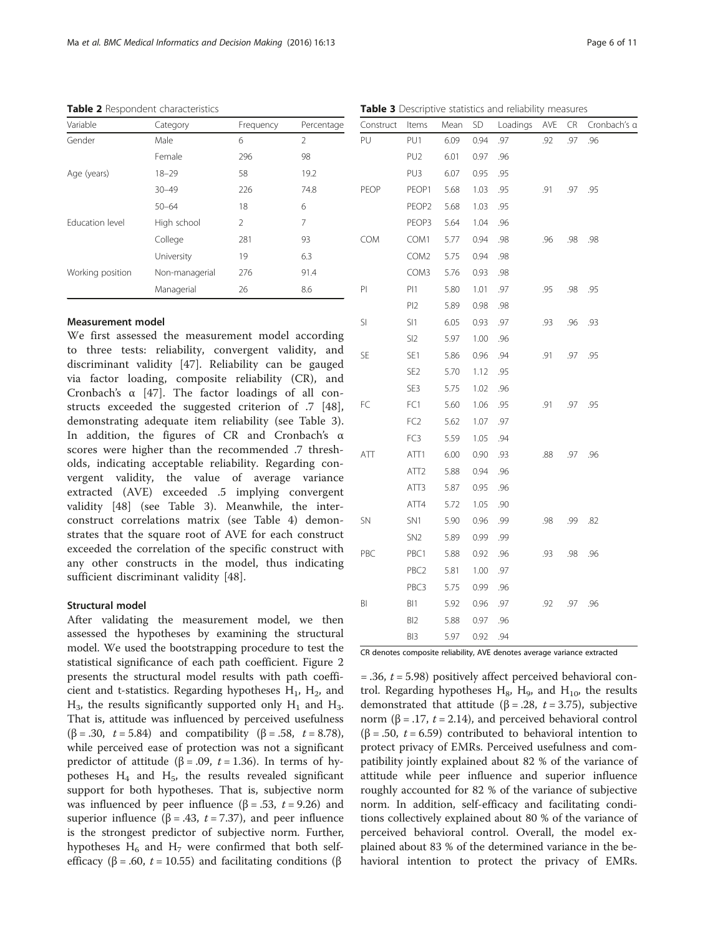| Variable         | Category       | Frequency | Percentage |
|------------------|----------------|-----------|------------|
| Gender           | Male           | 6         | 2          |
|                  | Female         | 296       | 98         |
| Age (years)      | $18 - 29$      | 58        | 19.2       |
|                  | $30 - 49$      | 226       | 74.8       |
|                  | $50 - 64$      | 18        | 6          |
| Education level  | High school    | 2         | 7          |
|                  | College        | 281       | 93         |
|                  | University     | 19        | 6.3        |
| Working position | Non-managerial | 276       | 91.4       |
|                  | Managerial     | 26        | 8.6        |

<span id="page-5-0"></span>Table 2 Respondent characteristics

#### Measurement model

We first assessed the measurement model according to three tests: reliability, convergent validity, and discriminant validity [\[47](#page--1-0)]. Reliability can be gauged via factor loading, composite reliability (CR), and Cronbach's α [\[47](#page--1-0)]. The factor loadings of all constructs exceeded the suggested criterion of .7 [\[48](#page--1-0)], demonstrating adequate item reliability (see Table 3). In addition, the figures of CR and Cronbach's α scores were higher than the recommended .7 thresholds, indicating acceptable reliability. Regarding convergent validity, the value of average variance extracted (AVE) exceeded .5 implying convergent validity [[48\]](#page--1-0) (see Table 3). Meanwhile, the interconstruct correlations matrix (see Table [4](#page-6-0)) demonstrates that the square root of AVE for each construct exceeded the correlation of the specific construct with any other constructs in the model, thus indicating sufficient discriminant validity [\[48](#page--1-0)].

#### Structural model

After validating the measurement model, we then assessed the hypotheses by examining the structural model. We used the bootstrapping procedure to test the statistical significance of each path coefficient. Figure [2](#page-6-0) presents the structural model results with path coefficient and t-statistics. Regarding hypotheses  $H_1$ ,  $H_2$ , and  $H_3$ , the results significantly supported only  $H_1$  and  $H_3$ . That is, attitude was influenced by perceived usefulness ( $\beta = .30$ ,  $t = 5.84$ ) and compatibility ( $\beta = .58$ ,  $t = 8.78$ ), while perceived ease of protection was not a significant predictor of attitude (β = .09, t = 1.36). In terms of hypotheses  $H_4$  and  $H_5$ , the results revealed significant support for both hypotheses. That is, subjective norm was influenced by peer influence ( $\beta$  = .53, t = 9.26) and superior influence ( $\beta$  = .43, t = 7.37), and peer influence is the strongest predictor of subjective norm. Further, hypotheses  $H_6$  and  $H_7$  were confirmed that both selfefficacy (β = .60, *t* = 10.55) and facilitating conditions (β

Table 3 Descriptive statistics and reliability measures

| Construct  | Items             | Mean | SD   | Loadings | AVE | CR  | Cronbach's a |
|------------|-------------------|------|------|----------|-----|-----|--------------|
| PU         | PU1               | 6.09 | 0.94 | .97      | .92 | .97 | .96          |
|            | PU <sub>2</sub>   | 6.01 | 0.97 | .96      |     |     |              |
|            | PU3               | 6.07 | 0.95 | .95      |     |     |              |
| PEOP       | PEOP1             | 5.68 | 1.03 | .95      | .91 | .97 | .95          |
|            | PEOP <sub>2</sub> | 5.68 | 1.03 | .95      |     |     |              |
|            | PEOP3             | 5.64 | 1.04 | .96      |     |     |              |
| <b>COM</b> | COM1              | 5.77 | 0.94 | .98      | .96 | .98 | .98          |
|            | COM2              | 5.75 | 0.94 | .98      |     |     |              |
|            | COM3              | 5.76 | 0.93 | .98      |     |     |              |
| PI         | PI1               | 5.80 | 1.01 | .97      | .95 | .98 | .95          |
|            | PI <sub>2</sub>   | 5.89 | 0.98 | .98      |     |     |              |
| SI         | SI1               | 6.05 | 0.93 | .97      | .93 | .96 | .93          |
|            | SI <sub>2</sub>   | 5.97 | 1.00 | .96      |     |     |              |
| <b>SE</b>  | SE1               | 5.86 | 0.96 | .94      | .91 | .97 | .95          |
|            | SE <sub>2</sub>   | 5.70 | 1.12 | .95      |     |     |              |
|            | SE3               | 5.75 | 1.02 | .96      |     |     |              |
| FC         | FC1               | 5.60 | 1.06 | .95      | .91 | .97 | .95          |
|            | FC <sub>2</sub>   | 5.62 | 1.07 | .97      |     |     |              |
|            | FC3               | 5.59 | 1.05 | .94      |     |     |              |
| ATT        | ATT1              | 6.00 | 0.90 | .93      | .88 | .97 | .96          |
|            | ATT <sub>2</sub>  | 5.88 | 0.94 | .96      |     |     |              |
|            | ATT3              | 5.87 | 0.95 | .96      |     |     |              |
|            | ATT4              | 5.72 | 1.05 | .90      |     |     |              |
| <b>SN</b>  | SN <sub>1</sub>   | 5.90 | 0.96 | .99      | .98 | .99 | .82          |
|            | SN <sub>2</sub>   | 5.89 | 0.99 | .99      |     |     |              |
| PBC        | PBC1              | 5.88 | 0.92 | .96      | .93 | .98 | .96          |
|            | PBC <sub>2</sub>  | 5.81 | 1.00 | .97      |     |     |              |
|            | PBC3              | 5.75 | 0.99 | .96      |     |     |              |
| BI         | BI1               | 5.92 | 0.96 | .97      | .92 | .97 | .96          |
|            | BI <sub>2</sub>   | 5.88 | 0.97 | .96      |     |     |              |
|            | BI3               | 5.97 | 0.92 | .94      |     |     |              |

CR denotes composite reliability, AVE denotes average variance extracted

 $=$  .36,  $t = 5.98$ ) positively affect perceived behavioral control. Regarding hypotheses  $H_8$ ,  $H_9$ , and  $H_{10}$ , the results demonstrated that attitude ( $\beta$  = .28, t = 3.75), subjective norm (β = .17,  $t = 2.14$ ), and perceived behavioral control ( $\beta$  = .50, *t* = 6.59) contributed to behavioral intention to protect privacy of EMRs. Perceived usefulness and compatibility jointly explained about 82 % of the variance of attitude while peer influence and superior influence roughly accounted for 82 % of the variance of subjective norm. In addition, self-efficacy and facilitating conditions collectively explained about 80 % of the variance of perceived behavioral control. Overall, the model explained about 83 % of the determined variance in the behavioral intention to protect the privacy of EMRs.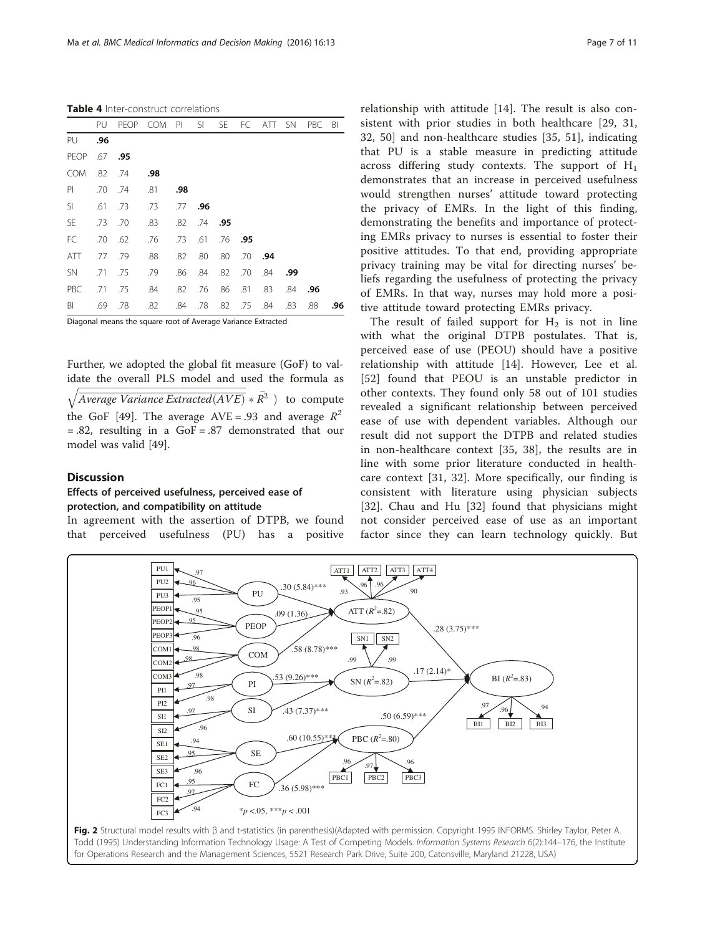<span id="page-6-0"></span>Table 4 Inter-construct correlations

|            | PU                                                           | <b>PEOP</b> | <b>COM</b> | PI  | SI  | SE  | FC. | ATT | <b>SN</b> | <b>PBC</b> | BI  |
|------------|--------------------------------------------------------------|-------------|------------|-----|-----|-----|-----|-----|-----------|------------|-----|
| PU         | .96                                                          |             |            |     |     |     |     |     |           |            |     |
| PEOP       | .67                                                          | .95         |            |     |     |     |     |     |           |            |     |
| <b>COM</b> | .82                                                          | .74         | .98        |     |     |     |     |     |           |            |     |
| PI         | .70                                                          | .74         | .81        | .98 |     |     |     |     |           |            |     |
| SI         | .61                                                          | .73         | .73        | .77 | .96 |     |     |     |           |            |     |
| <b>SE</b>  | .73                                                          | .70         | .83        | .82 | .74 | .95 |     |     |           |            |     |
| FC         | .70                                                          | .62         | .76        | .73 | .61 | .76 | .95 |     |           |            |     |
| ATT        | .77                                                          | .79         | .88        | .82 | .80 | .80 | .70 | .94 |           |            |     |
| <b>SN</b>  | .71                                                          | .75         | .79        | .86 | .84 | .82 | .70 | .84 | .99       |            |     |
| PBC        | .71                                                          | .75         | .84        | .82 | .76 | .86 | .81 | .83 | .84       | .96        |     |
| BI         | .69                                                          | .78         | .82        | .84 | .78 | .82 | .75 | .84 | .83       | .88        | .96 |
|            | Diagonal means the square root of Average Variance Extracted |             |            |     |     |     |     |     |           |            |     |

Further, we adopted the global fit measure (GoF) to validate the overall PLS model and used the formula as

 $\sqrt{Average Variance Extracted(AVE)} * \overline{R}^{28}$  to compute the GoF [[49](#page--1-0)]. The average AVE = .93 and average  $R^2$  $= .82$ , resulting in a GoF  $= .87$  demonstrated that our model was valid [[49](#page--1-0)].

#### **Discussion**

## Effects of perceived usefulness, perceived ease of protection, and compatibility on attitude

In agreement with the assertion of DTPB, we found that perceived usefulness (PU) has a positive relationship with attitude [\[14](#page-9-0)]. The result is also consistent with prior studies in both healthcare [[29, 31](#page--1-0), [32, 50](#page--1-0)] and non-healthcare studies [\[35](#page--1-0), [51\]](#page--1-0), indicating that PU is a stable measure in predicting attitude across differing study contexts. The support of  $H_1$ demonstrates that an increase in perceived usefulness would strengthen nurses' attitude toward protecting the privacy of EMRs. In the light of this finding, demonstrating the benefits and importance of protecting EMRs privacy to nurses is essential to foster their positive attitudes. To that end, providing appropriate privacy training may be vital for directing nurses' beliefs regarding the usefulness of protecting the privacy of EMRs. In that way, nurses may hold more a positive attitude toward protecting EMRs privacy.

The result of failed support for  $H_2$  is not in line with what the original DTPB postulates. That is, perceived ease of use (PEOU) should have a positive relationship with attitude [[14\]](#page-9-0). However, Lee et al. [[52](#page--1-0)] found that PEOU is an unstable predictor in other contexts. They found only 58 out of 101 studies revealed a significant relationship between perceived ease of use with dependent variables. Although our result did not support the DTPB and related studies in non-healthcare context [[35, 38](#page--1-0)], the results are in line with some prior literature conducted in healthcare context [[31](#page--1-0), [32](#page--1-0)]. More specifically, our finding is consistent with literature using physician subjects [[32\]](#page--1-0). Chau and Hu [\[32](#page--1-0)] found that physicians might not consider perceived ease of use as an important factor since they can learn technology quickly. But

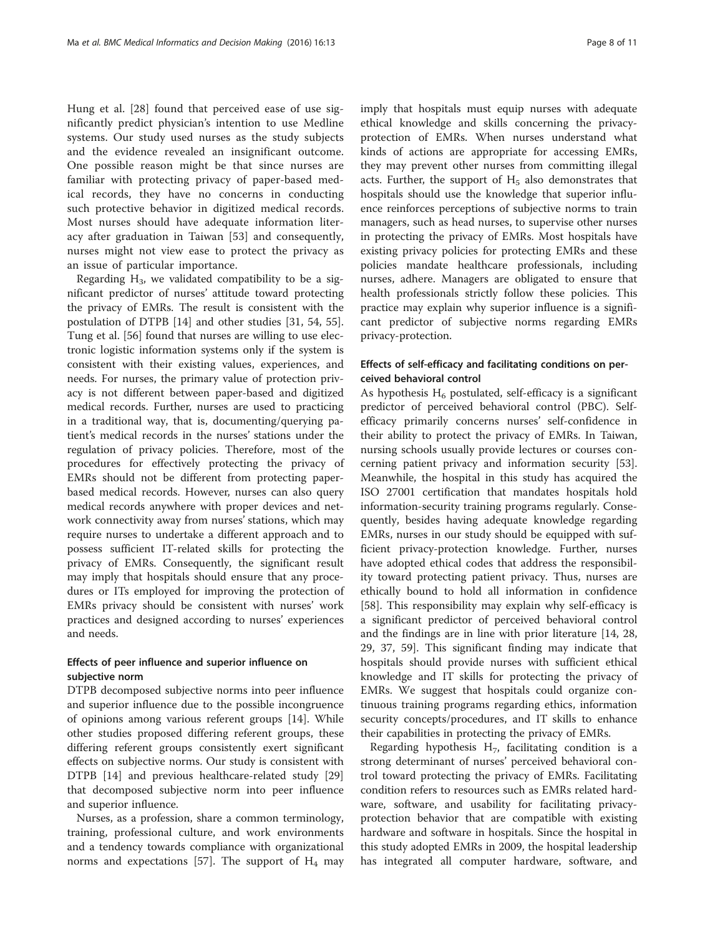Hung et al. [[28](#page--1-0)] found that perceived ease of use significantly predict physician's intention to use Medline systems. Our study used nurses as the study subjects and the evidence revealed an insignificant outcome. One possible reason might be that since nurses are familiar with protecting privacy of paper-based medical records, they have no concerns in conducting such protective behavior in digitized medical records. Most nurses should have adequate information literacy after graduation in Taiwan [[53\]](#page--1-0) and consequently, nurses might not view ease to protect the privacy as an issue of particular importance.

Regarding  $H_3$ , we validated compatibility to be a significant predictor of nurses' attitude toward protecting the privacy of EMRs. The result is consistent with the postulation of DTPB [\[14](#page-9-0)] and other studies [\[31](#page--1-0), [54, 55](#page--1-0)]. Tung et al. [\[56\]](#page--1-0) found that nurses are willing to use electronic logistic information systems only if the system is consistent with their existing values, experiences, and needs. For nurses, the primary value of protection privacy is not different between paper-based and digitized medical records. Further, nurses are used to practicing in a traditional way, that is, documenting/querying patient's medical records in the nurses' stations under the regulation of privacy policies. Therefore, most of the procedures for effectively protecting the privacy of EMRs should not be different from protecting paperbased medical records. However, nurses can also query medical records anywhere with proper devices and network connectivity away from nurses' stations, which may require nurses to undertake a different approach and to possess sufficient IT-related skills for protecting the privacy of EMRs. Consequently, the significant result may imply that hospitals should ensure that any procedures or ITs employed for improving the protection of EMRs privacy should be consistent with nurses' work practices and designed according to nurses' experiences and needs.

## Effects of peer influence and superior influence on subjective norm

DTPB decomposed subjective norms into peer influence and superior influence due to the possible incongruence of opinions among various referent groups [\[14](#page-9-0)]. While other studies proposed differing referent groups, these differing referent groups consistently exert significant effects on subjective norms. Our study is consistent with DTPB [\[14\]](#page-9-0) and previous healthcare-related study [[29](#page--1-0)] that decomposed subjective norm into peer influence and superior influence.

Nurses, as a profession, share a common terminology, training, professional culture, and work environments and a tendency towards compliance with organizational norms and expectations [[57\]](#page--1-0). The support of  $H_4$  may imply that hospitals must equip nurses with adequate ethical knowledge and skills concerning the privacyprotection of EMRs. When nurses understand what kinds of actions are appropriate for accessing EMRs, they may prevent other nurses from committing illegal acts. Further, the support of  $H<sub>5</sub>$  also demonstrates that hospitals should use the knowledge that superior influence reinforces perceptions of subjective norms to train managers, such as head nurses, to supervise other nurses in protecting the privacy of EMRs. Most hospitals have existing privacy policies for protecting EMRs and these policies mandate healthcare professionals, including nurses, adhere. Managers are obligated to ensure that health professionals strictly follow these policies. This practice may explain why superior influence is a significant predictor of subjective norms regarding EMRs privacy-protection.

# Effects of self-efficacy and facilitating conditions on perceived behavioral control

As hypothesis  $H_6$  postulated, self-efficacy is a significant predictor of perceived behavioral control (PBC). Selfefficacy primarily concerns nurses' self-confidence in their ability to protect the privacy of EMRs. In Taiwan, nursing schools usually provide lectures or courses concerning patient privacy and information security [\[53](#page--1-0)]. Meanwhile, the hospital in this study has acquired the ISO 27001 certification that mandates hospitals hold information-security training programs regularly. Consequently, besides having adequate knowledge regarding EMRs, nurses in our study should be equipped with sufficient privacy-protection knowledge. Further, nurses have adopted ethical codes that address the responsibility toward protecting patient privacy. Thus, nurses are ethically bound to hold all information in confidence [[58\]](#page--1-0). This responsibility may explain why self-efficacy is a significant predictor of perceived behavioral control and the findings are in line with prior literature [\[14,](#page-9-0) [28](#page--1-0), [29, 37, 59\]](#page--1-0). This significant finding may indicate that hospitals should provide nurses with sufficient ethical knowledge and IT skills for protecting the privacy of EMRs. We suggest that hospitals could organize continuous training programs regarding ethics, information security concepts/procedures, and IT skills to enhance their capabilities in protecting the privacy of EMRs.

Regarding hypothesis  $H_7$ , facilitating condition is a strong determinant of nurses' perceived behavioral control toward protecting the privacy of EMRs. Facilitating condition refers to resources such as EMRs related hardware, software, and usability for facilitating privacyprotection behavior that are compatible with existing hardware and software in hospitals. Since the hospital in this study adopted EMRs in 2009, the hospital leadership has integrated all computer hardware, software, and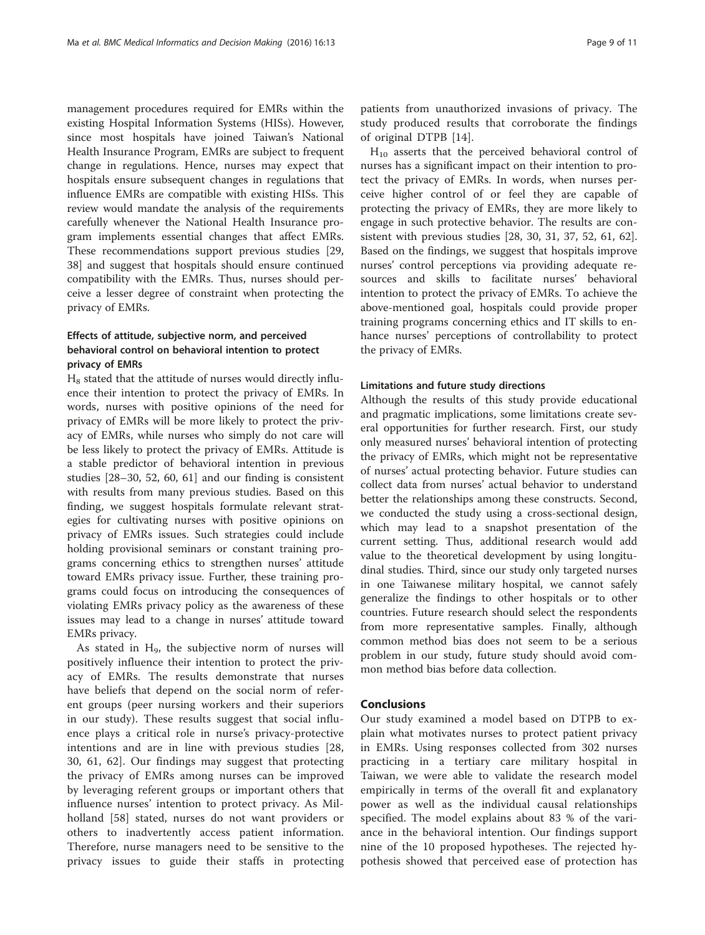management procedures required for EMRs within the existing Hospital Information Systems (HISs). However, since most hospitals have joined Taiwan's National Health Insurance Program, EMRs are subject to frequent change in regulations. Hence, nurses may expect that hospitals ensure subsequent changes in regulations that influence EMRs are compatible with existing HISs. This review would mandate the analysis of the requirements carefully whenever the National Health Insurance program implements essential changes that affect EMRs. These recommendations support previous studies [[29](#page--1-0), [38\]](#page--1-0) and suggest that hospitals should ensure continued compatibility with the EMRs. Thus, nurses should perceive a lesser degree of constraint when protecting the privacy of EMRs.

# Effects of attitude, subjective norm, and perceived behavioral control on behavioral intention to protect privacy of EMRs

 $H_8$  stated that the attitude of nurses would directly influence their intention to protect the privacy of EMRs. In words, nurses with positive opinions of the need for privacy of EMRs will be more likely to protect the privacy of EMRs, while nurses who simply do not care will be less likely to protect the privacy of EMRs. Attitude is a stable predictor of behavioral intention in previous studies [[28](#page--1-0)–[30](#page--1-0), [52, 60](#page--1-0), [61\]](#page--1-0) and our finding is consistent with results from many previous studies. Based on this finding, we suggest hospitals formulate relevant strategies for cultivating nurses with positive opinions on privacy of EMRs issues. Such strategies could include holding provisional seminars or constant training programs concerning ethics to strengthen nurses' attitude toward EMRs privacy issue. Further, these training programs could focus on introducing the consequences of violating EMRs privacy policy as the awareness of these issues may lead to a change in nurses' attitude toward EMRs privacy.

As stated in  $H<sub>9</sub>$ , the subjective norm of nurses will positively influence their intention to protect the privacy of EMRs. The results demonstrate that nurses have beliefs that depend on the social norm of referent groups (peer nursing workers and their superiors in our study). These results suggest that social influence plays a critical role in nurse's privacy-protective intentions and are in line with previous studies [\[28](#page--1-0), [30, 61, 62](#page--1-0)]. Our findings may suggest that protecting the privacy of EMRs among nurses can be improved by leveraging referent groups or important others that influence nurses' intention to protect privacy. As Milholland [\[58](#page--1-0)] stated, nurses do not want providers or others to inadvertently access patient information. Therefore, nurse managers need to be sensitive to the privacy issues to guide their staffs in protecting patients from unauthorized invasions of privacy. The study produced results that corroborate the findings of original DTPB [[14](#page-9-0)].

 $H_{10}$  asserts that the perceived behavioral control of nurses has a significant impact on their intention to protect the privacy of EMRs. In words, when nurses perceive higher control of or feel they are capable of protecting the privacy of EMRs, they are more likely to engage in such protective behavior. The results are consistent with previous studies [[28](#page--1-0), [30](#page--1-0), [31, 37](#page--1-0), [52, 61, 62](#page--1-0)]. Based on the findings, we suggest that hospitals improve nurses' control perceptions via providing adequate resources and skills to facilitate nurses' behavioral intention to protect the privacy of EMRs. To achieve the above-mentioned goal, hospitals could provide proper training programs concerning ethics and IT skills to enhance nurses' perceptions of controllability to protect the privacy of EMRs.

#### Limitations and future study directions

Although the results of this study provide educational and pragmatic implications, some limitations create several opportunities for further research. First, our study only measured nurses' behavioral intention of protecting the privacy of EMRs, which might not be representative of nurses' actual protecting behavior. Future studies can collect data from nurses' actual behavior to understand better the relationships among these constructs. Second, we conducted the study using a cross-sectional design, which may lead to a snapshot presentation of the current setting. Thus, additional research would add value to the theoretical development by using longitudinal studies. Third, since our study only targeted nurses in one Taiwanese military hospital, we cannot safely generalize the findings to other hospitals or to other countries. Future research should select the respondents from more representative samples. Finally, although common method bias does not seem to be a serious problem in our study, future study should avoid common method bias before data collection.

#### **Conclusions**

Our study examined a model based on DTPB to explain what motivates nurses to protect patient privacy in EMRs. Using responses collected from 302 nurses practicing in a tertiary care military hospital in Taiwan, we were able to validate the research model empirically in terms of the overall fit and explanatory power as well as the individual causal relationships specified. The model explains about 83 % of the variance in the behavioral intention. Our findings support nine of the 10 proposed hypotheses. The rejected hypothesis showed that perceived ease of protection has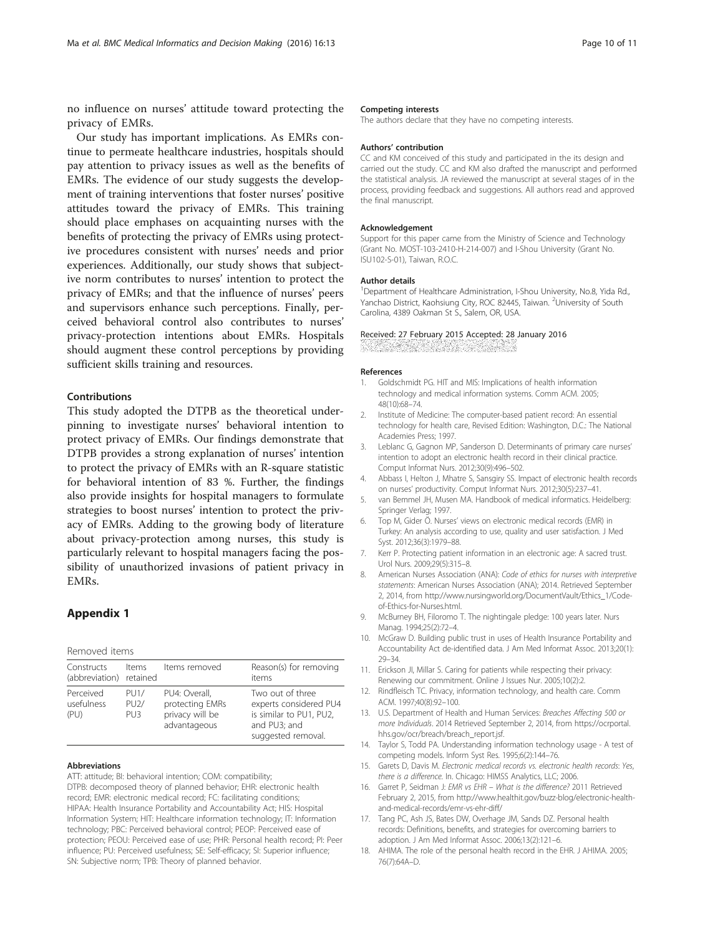<span id="page-9-0"></span>no influence on nurses' attitude toward protecting the privacy of EMRs.

Our study has important implications. As EMRs continue to permeate healthcare industries, hospitals should pay attention to privacy issues as well as the benefits of EMRs. The evidence of our study suggests the development of training interventions that foster nurses' positive attitudes toward the privacy of EMRs. This training should place emphases on acquainting nurses with the benefits of protecting the privacy of EMRs using protective procedures consistent with nurses' needs and prior experiences. Additionally, our study shows that subjective norm contributes to nurses' intention to protect the privacy of EMRs; and that the influence of nurses' peers and supervisors enhance such perceptions. Finally, perceived behavioral control also contributes to nurses' privacy-protection intentions about EMRs. Hospitals should augment these control perceptions by providing sufficient skills training and resources.

#### Contributions

This study adopted the DTPB as the theoretical underpinning to investigate nurses' behavioral intention to protect privacy of EMRs. Our findings demonstrate that DTPB provides a strong explanation of nurses' intention to protect the privacy of EMRs with an R-square statistic for behavioral intention of 83 %. Further, the findings also provide insights for hospital managers to formulate strategies to boost nurses' intention to protect the privacy of EMRs. Adding to the growing body of literature about privacy-protection among nurses, this study is particularly relevant to hospital managers facing the possibility of unauthorized invasions of patient privacy in EMRs.

# Appendix 1

| Removed items |  |
|---------------|--|
|---------------|--|

| Constructs<br>(abbreviation) retained | Items                           | Items removed                                                       | Reason(s) for removing<br>items                                                                             |
|---------------------------------------|---------------------------------|---------------------------------------------------------------------|-------------------------------------------------------------------------------------------------------------|
| Perceived<br>usefulness<br>(PU)       | PU1/<br>PU2/<br>PU <sub>3</sub> | PU4: Overall,<br>protecting EMRs<br>privacy will be<br>advantageous | Two out of three<br>experts considered PU4<br>is similar to PU1, PU2,<br>and PU3; and<br>suggested removal. |

#### Abbreviations

ATT: attitude; BI: behavioral intention; COM: compatibility; DTPB: decomposed theory of planned behavior; EHR: electronic health record; EMR: electronic medical record; FC: facilitating conditions; HIPAA: Health Insurance Portability and Accountability Act; HIS: Hospital Information System; HIT: Healthcare information technology; IT: Information technology; PBC: Perceived behavioral control; PEOP: Perceived ease of protection; PEOU: Perceived ease of use; PHR: Personal health record; PI: Peer influence; PU: Perceived usefulness; SE: Self-efficacy; SI: Superior influence; SN: Subjective norm; TPB: Theory of planned behavior.

#### Competing interests

The authors declare that they have no competing interests.

#### Authors' contribution

CC and KM conceived of this study and participated in the its design and carried out the study. CC and KM also drafted the manuscript and performed the statistical analysis. JA reviewed the manuscript at several stages of in the process, providing feedback and suggestions. All authors read and approved the final manuscript.

#### Acknowledgement

Support for this paper came from the Ministry of Science and Technology (Grant No. MOST-103-2410-H-214-007) and I-Shou University (Grant No. ISU102-S-01), Taiwan, R.O.C.

#### Author details

<sup>1</sup>Department of Healthcare Administration, I-Shou University, No.8, Yida Rd., Yanchao District, Kaohsiung City, ROC 82445, Taiwan. <sup>2</sup>University of South Carolina, 4389 Oakman St S., Salem, OR, USA.

#### Received: 27 February 2015 Accepted: 28 January 2016

#### References

- 1. Goldschmidt PG. HIT and MIS: Implications of health information technology and medical information systems. Comm ACM. 2005; 48(10):68–74.
- 2. Institute of Medicine: The computer-based patient record: An essential technology for health care, Revised Edition: Washington, D.C.: The National Academies Press; 1997.
- 3. Leblanc G, Gagnon MP, Sanderson D. Determinants of primary care nurses' intention to adopt an electronic health record in their clinical practice. Comput Informat Nurs. 2012;30(9):496–502.
- 4. Abbass I, Helton J, Mhatre S, Sansgiry SS. Impact of electronic health records on nurses' productivity. Comput Informat Nurs. 2012;30(5):237–41.
- 5. van Bemmel JH, Musen MA. Handbook of medical informatics. Heidelberg: Springer Verlag; 1997.
- 6. Top M, Gider Ö. Nurses' views on electronic medical records (EMR) in Turkey: An analysis according to use, quality and user satisfaction. J Med Syst. 2012;36(3):1979–88.
- 7. Kerr P. Protecting patient information in an electronic age: A sacred trust. Urol Nurs. 2009;29(5):315–8.
- 8. American Nurses Association (ANA): Code of ethics for nurses with interpretive statements: American Nurses Association (ANA); 2014. Retrieved September 2, 2014, from [http://www.nursingworld.org/DocumentVault/Ethics\\_1/Code](http://www.nursingworld.org/DocumentVault/Ethics_1/Code-of-Ethics-for-Nurses.html)[of-Ethics-for-Nurses.html.](http://www.nursingworld.org/DocumentVault/Ethics_1/Code-of-Ethics-for-Nurses.html)
- 9. McBurney BH, Filoromo T. The nightingale pledge: 100 years later. Nurs Manag. 1994;25(2):72–4.
- 10. McGraw D. Building public trust in uses of Health Insurance Portability and Accountability Act de-identified data. J Am Med Informat Assoc. 2013;20(1): 29–34.
- 11. Erickson JI, Millar S. Caring for patients while respecting their privacy: Renewing our commitment. Online J Issues Nur. 2005;10(2):2.
- 12. Rindfleisch TC. Privacy, information technology, and health care. Comm ACM. 1997;40(8):92–100.
- 13. U.S. Department of Health and Human Services: Breaches Affecting 500 or more Individuals. 2014 Retrieved September 2, 2014, from [https://ocrportal.](https://ocrportal.hhs.gov/ocr/breach/breach_report.jsf) [hhs.gov/ocr/breach/breach\\_report.jsf](https://ocrportal.hhs.gov/ocr/breach/breach_report.jsf).
- 14. Taylor S, Todd PA. Understanding information technology usage A test of competing models. Inform Syst Res. 1995;6(2):144–76.
- 15. Garets D, Davis M. Electronic medical records vs. electronic health records: Yes, there is a difference. In. Chicago: HIMSS Analytics, LLC; 2006.
- 16. Garret P, Seidman J: EMR vs EHR What is the difference? 2011 Retrieved February 2, 2015, from [http://www.healthit.gov/buzz-blog/electronic-health](http://www.healthit.gov/buzz-blog/electronic-health-and-medical-records/emr-vs-ehr-diff/)[and-medical-records/emr-vs-ehr-diff/](http://www.healthit.gov/buzz-blog/electronic-health-and-medical-records/emr-vs-ehr-diff/)
- 17. Tang PC, Ash JS, Bates DW, Overhage JM, Sands DZ. Personal health records: Definitions, benefits, and strategies for overcoming barriers to adoption. J Am Med Informat Assoc. 2006;13(2):121–6.
- 18. AHIMA. The role of the personal health record in the EHR. J AHIMA. 2005; 76(7):64A–D.